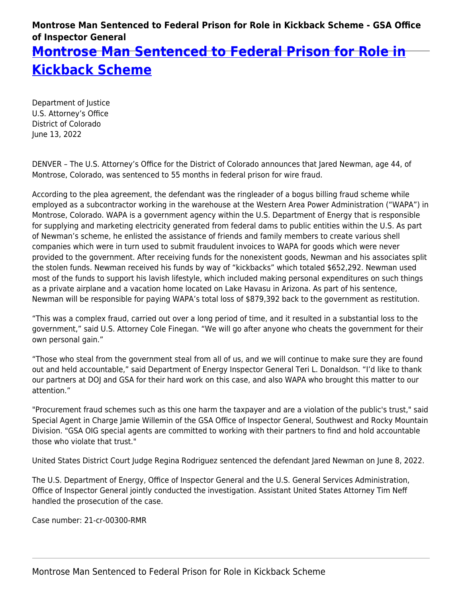## **Montrose Man Sentenced to Federal Prison for Role in Kickback Scheme - GSA Office of Inspector General**

**[Montrose Man Sentenced to Federal Prison for Role in](https://www.gsaig.gov/news/montrose-man-sentenced-federal-prison-role-kickback-scheme) [Kickback Scheme](https://www.gsaig.gov/news/montrose-man-sentenced-federal-prison-role-kickback-scheme)**

Department of Justice U.S. Attorney's Office District of Colorado June 13, 2022

DENVER – The U.S. Attorney's Office for the District of Colorado announces that Jared Newman, age 44, of Montrose, Colorado, was sentenced to 55 months in federal prison for wire fraud.

According to the plea agreement, the defendant was the ringleader of a bogus billing fraud scheme while employed as a subcontractor working in the warehouse at the Western Area Power Administration ("WAPA") in Montrose, Colorado. WAPA is a government agency within the U.S. Department of Energy that is responsible for supplying and marketing electricity generated from federal dams to public entities within the U.S. As part of Newman's scheme, he enlisted the assistance of friends and family members to create various shell companies which were in turn used to submit fraudulent invoices to WAPA for goods which were never provided to the government. After receiving funds for the nonexistent goods, Newman and his associates split the stolen funds. Newman received his funds by way of "kickbacks" which totaled \$652,292. Newman used most of the funds to support his lavish lifestyle, which included making personal expenditures on such things as a private airplane and a vacation home located on Lake Havasu in Arizona. As part of his sentence, Newman will be responsible for paying WAPA's total loss of \$879,392 back to the government as restitution.

"This was a complex fraud, carried out over a long period of time, and it resulted in a substantial loss to the government," said U.S. Attorney Cole Finegan. "We will go after anyone who cheats the government for their own personal gain."

"Those who steal from the government steal from all of us, and we will continue to make sure they are found out and held accountable," said Department of Energy Inspector General Teri L. Donaldson. "I'd like to thank our partners at DOJ and GSA for their hard work on this case, and also WAPA who brought this matter to our attention."

"Procurement fraud schemes such as this one harm the taxpayer and are a violation of the public's trust," said Special Agent in Charge Jamie Willemin of the GSA Office of Inspector General, Southwest and Rocky Mountain Division. "GSA OIG special agents are committed to working with their partners to find and hold accountable those who violate that trust."

United States District Court Judge Regina Rodriguez sentenced the defendant Jared Newman on June 8, 2022.

The U.S. Department of Energy, Office of Inspector General and the U.S. General Services Administration, Office of Inspector General jointly conducted the investigation. Assistant United States Attorney Tim Neff handled the prosecution of the case.

Case number: 21-cr-00300-RMR